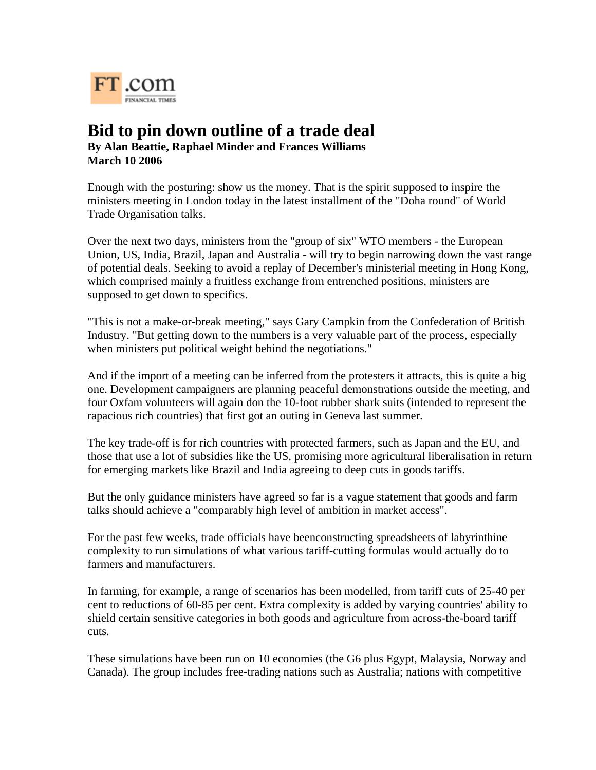

## **Bid to pin down outline of a trade deal By Alan Beattie, Raphael Minder and Frances Williams March 10 2006**

Enough with the posturing: show us the money. That is the spirit supposed to inspire the ministers meeting in London today in the latest installment of the "Doha round" of World Trade Organisation talks.

Over the next two days, ministers from the "group of six" WTO members - the European Union, US, India, Brazil, Japan and Australia - will try to begin narrowing down the vast range of potential deals. Seeking to avoid a replay of December's ministerial meeting in Hong Kong, which comprised mainly a fruitless exchange from entrenched positions, ministers are supposed to get down to specifics.

"This is not a make-or-break meeting," says Gary Campkin from the Confederation of British Industry. "But getting down to the numbers is a very valuable part of the process, especially when ministers put political weight behind the negotiations."

And if the import of a meeting can be inferred from the protesters it attracts, this is quite a big one. Development campaigners are planning peaceful demonstrations outside the meeting, and four Oxfam volunteers will again don the 10-foot rubber shark suits (intended to represent the rapacious rich countries) that first got an outing in Geneva last summer.

The key trade-off is for rich countries with protected farmers, such as Japan and the EU, and those that use a lot of subsidies like the US, promising more agricultural liberalisation in return for emerging markets like Brazil and India agreeing to deep cuts in goods tariffs.

But the only guidance ministers have agreed so far is a vague statement that goods and farm talks should achieve a "comparably high level of ambition in market access".

For the past few weeks, trade officials have beenconstructing spreadsheets of labyrinthine complexity to run simulations of what various tariff-cutting formulas would actually do to farmers and manufacturers.

In farming, for example, a range of scenarios has been modelled, from tariff cuts of 25-40 per cent to reductions of 60-85 per cent. Extra complexity is added by varying countries' ability to shield certain sensitive categories in both goods and agriculture from across-the-board tariff cuts.

These simulations have been run on 10 economies (the G6 plus Egypt, Malaysia, Norway and Canada). The group includes free-trading nations such as Australia; nations with competitive